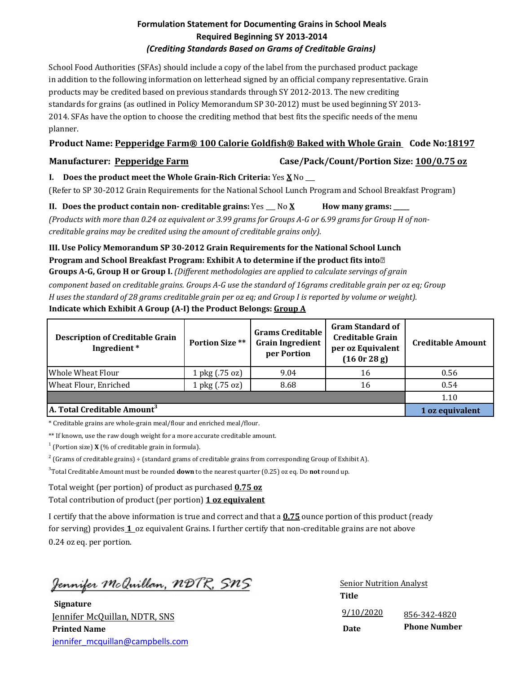## **Formulation Statement for Documenting Grains in School Meals Required Beginning SY 2013-2014** *(Crediting Standards Based on Grams of Creditable Grains)*

School Food Authorities (SFAs) should include a copy of the label from the purchased product package in addition to the following information on letterhead signed by an official company representative. Grain products may be credited based on previous standards through SY 2012-2013. The new crediting standards for grains (as outlined in Policy Memorandum SP 30-2012) must be used beginning SY 2013- 2014. SFAs have the option to choose the crediting method that best fits the specific needs of the menu planner.

# **Product Name: Pepperidge Farm® 100 Calorie Goldfish® Baked with Whole Grain Code No:18197**

**Manufacturer: Pepperidge Farm Case/Pack/Count/Portion Size: 100/0.75 oz**

**I. Does the product meet the Whole Grain-Rich Criteria:** Yes **X** No \_\_\_

(Refer to SP 30-2012 Grain Requirements for the National School Lunch Program and School Breakfast Program)

**II.** Does the product contain non- creditable grains:  $Yes \_ No \_X$  How many grams:

*(Products with more than 0.24 oz equivalent or 3.99 grams for Groups A-G or 6.99 grams for Group H of noncreditable grains may be credited using the amount of creditable grains only).*

## **III. Use Policy Memorandum SP 30-2012 Grain Requirements for the National School Lunch Program and School Breakfast Program: Exhibit A to determine if the product fits into Groups A-G, Group H or Group I.** *(Different methodologies are applied to calculate servings of grain*

*component based on creditable grains. Groups A-G use the standard of 16grams creditable grain per oz eq; Group H uses the standard of 28 grams creditable grain per oz eq; and Group I is reported by volume or weight).* **Indicate which Exhibit A Group (A-I) the Product Belongs: Group A**

| <b>Description of Creditable Grain</b><br>Ingredient* | <b>Portion Size **</b> | <b>Grams Creditable</b><br><b>Grain Ingredient</b><br>per Portion | <b>Gram Standard of</b><br><b>Creditable Grain</b><br>per oz Equivalent<br>(160r 28g) | <b>Creditable Amount</b> |
|-------------------------------------------------------|------------------------|-------------------------------------------------------------------|---------------------------------------------------------------------------------------|--------------------------|
| Whole Wheat Flour                                     | 1 pkg (.75 oz)         | 9.04                                                              | 16                                                                                    | 0.56                     |
| Wheat Flour, Enriched                                 | 1 pkg (.75 oz)         | 8.68                                                              | 16                                                                                    | 0.54                     |
|                                                       |                        |                                                                   |                                                                                       | 1.10                     |
| A. Total Creditable Amount <sup>3</sup>               |                        |                                                                   |                                                                                       | 1 oz equivalent          |

\* Creditable grains are whole-grain meal/flour and enriched meal/flour.

\*\* If known, use the raw dough weight for a more accurate creditable amount.

 $1$  (Portion size) **X** (% of creditable grain in formula).

 $2^{2}$  (Grams of creditable grains) ÷ (standard grams of creditable grains from corresponding Group of Exhibit A).

3 Total Creditable Amount must be rounded **down** to the nearest quarter (0.25) oz eq. Do **not** round up.

Total weight (per portion) of product as purchased **0.75 oz**

Total contribution of product (per portion) **1 oz equivalent**

I certify that the above information is true and correct and that a **0.75** ounce portion of this product (ready for serving) provides **1** oz equivalent Grains. I further certify that non-creditable grains are not above 0.24 oz eq. per portion.

<u> Jennifer McQuillan, NDTR, SNS</u>

**Signature** Jennifer McQuillan, NDTR, SNS **Printed Name** jennifer\_mcquillan@campbells.com

9/10/2020 **Date** Senior Nutrition Analyst **Title** 856-342-4820 **Phone Number**